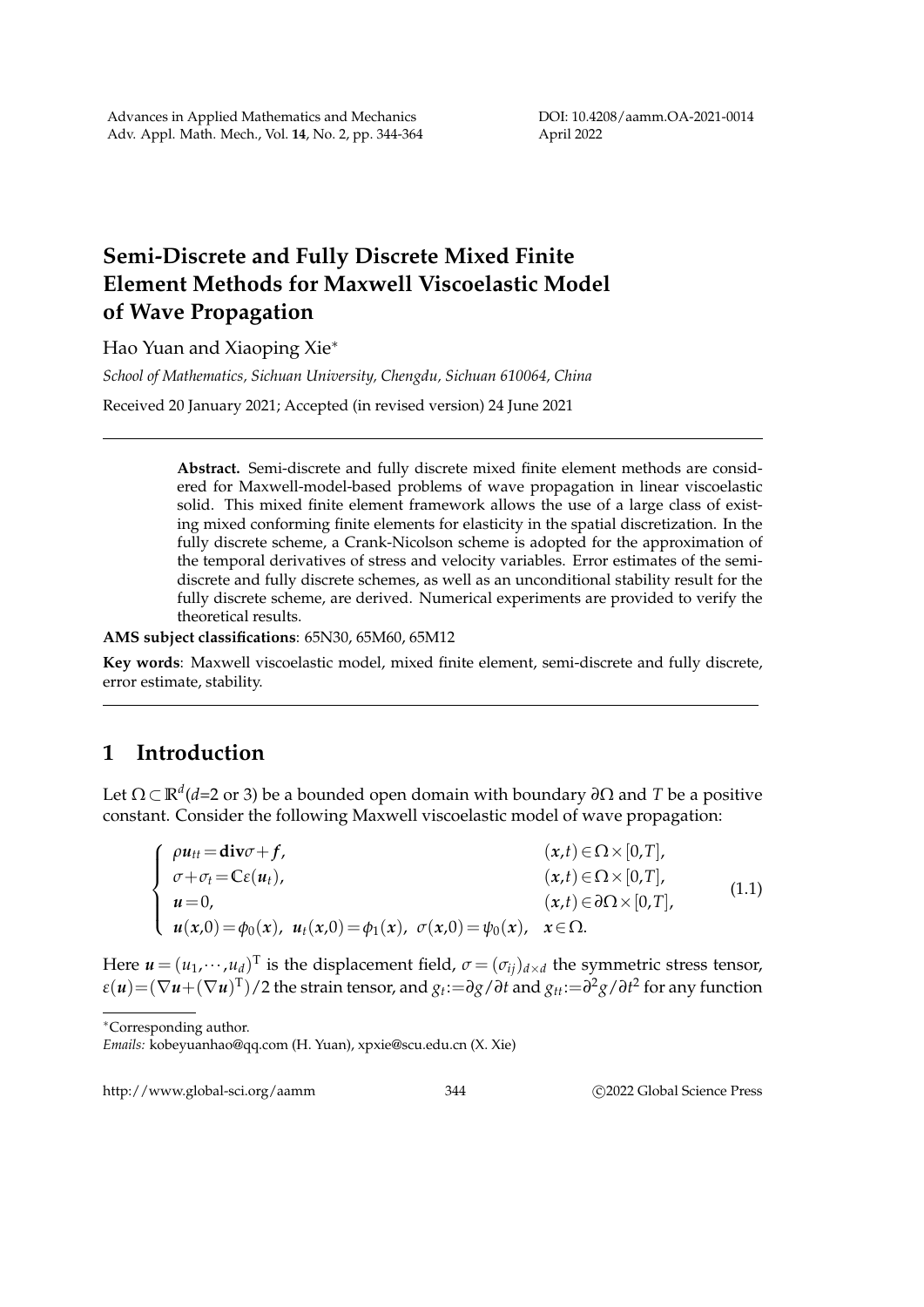DOI: 10.4208/aamm.OA-2021-0014 April 2022

## **Semi-Discrete and Fully Discrete Mixed Finite Element Methods for Maxwell Viscoelastic Model of Wave Propagation**

Hao Yuan and Xiaoping Xie<sup>∗</sup>

*School of Mathematics, Sichuan University, Chengdu, Sichuan 610064, China* Received 20 January 2021; Accepted (in revised version) 24 June 2021

> **Abstract.** Semi-discrete and fully discrete mixed finite element methods are considered for Maxwell-model-based problems of wave propagation in linear viscoelastic solid. This mixed finite element framework allows the use of a large class of existing mixed conforming finite elements for elasticity in the spatial discretization. In the fully discrete scheme, a Crank-Nicolson scheme is adopted for the approximation of the temporal derivatives of stress and velocity variables. Error estimates of the semidiscrete and fully discrete schemes, as well as an unconditional stability result for the fully discrete scheme, are derived. Numerical experiments are provided to verify the theoretical results.

**AMS subject classifications**: 65N30, 65M60, 65M12

**Key words**: Maxwell viscoelastic model, mixed finite element, semi-discrete and fully discrete, error estimate, stability.

## **1 Introduction**

Let Ω ⊂ **R***<sup>d</sup>* (*d*=2 or 3) be a bounded open domain with boundary *∂*Ω and *T* be a positive constant. Consider the following Maxwell viscoelastic model of wave propagation:

$$
\begin{cases}\n\rho u_{tt} = \textbf{div}\sigma + f, & (x, t) \in \Omega \times [0, T], \\
\sigma + \sigma_t = \mathbb{C}\varepsilon(u_t), & (x, t) \in \Omega \times [0, T], \\
u = 0, & (x, t) \in \partial\Omega \times [0, T], \\
u(x, 0) = \phi_0(x), & u_t(x, 0) = \phi_1(x), & \sigma(x, 0) = \psi_0(x), & x \in \Omega.\n\end{cases}
$$
\n(1.1)

Here  $\pmb{u} = (u_1, \cdots, u_d)^\text{T}$  is the displacement field,  $\sigma = (\sigma_{ij})_{d \times d}$  the symmetric stress tensor,  $\epsilon(u){=}(\nabla u{+}(\nabla u)^T)/2$  the strain tensor, and  $g_t{:=}\partial g/\partial t$  and  $g_{tt}{:=}\partial^2 g/\partial t^2$  for any function

<sup>∗</sup>Corresponding author.

*Emails:* kobeyuanhao@qq.com (H. Yuan), xpxie@scu.edu.cn (X. Xie)

http://www.global-sci.org/aamm 344 ©2022 Global Science Press